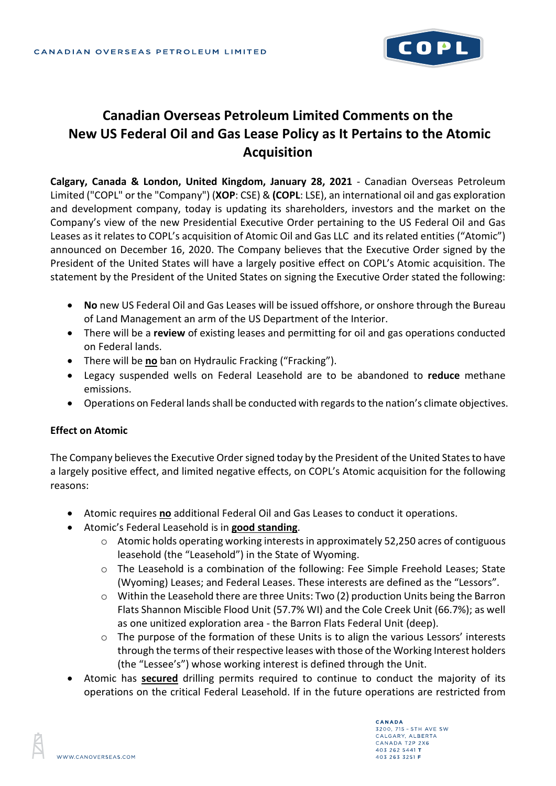

# **Canadian Overseas Petroleum Limited Comments on the New US Federal Oil and Gas Lease Policy as It Pertains to the Atomic Acquisition**

**Calgary, Canada & London, United Kingdom, January 28, 2021** - Canadian Overseas Petroleum Limited ("COPL" or the "Company") (**XOP**: CSE) & **(COPL**: LSE), an international oil and gas exploration and development company, today is updating its shareholders, investors and the market on the Company's view of the new Presidential Executive Order pertaining to the US Federal Oil and Gas Leases as it relates to COPL's acquisition of Atomic Oil and Gas LLC and its related entities ("Atomic") announced on December 16, 2020. The Company believes that the Executive Order signed by the President of the United States will have a largely positive effect on COPL's Atomic acquisition. The statement by the President of the United States on signing the Executive Order stated the following:

- **No** new US Federal Oil and Gas Leases will be issued offshore, or onshore through the Bureau of Land Management an arm of the US Department of the Interior.
- There will be a **review** of existing leases and permitting for oil and gas operations conducted on Federal lands.
- There will be **no** ban on Hydraulic Fracking ("Fracking").
- Legacy suspended wells on Federal Leasehold are to be abandoned to **reduce** methane emissions.
- Operations on Federal lands shall be conducted with regards to the nation's climate objectives.

### **Effect on Atomic**

The Company believes the Executive Order signed today by the President of the United States to have a largely positive effect, and limited negative effects, on COPL's Atomic acquisition for the following reasons:

- Atomic requires **no** additional Federal Oil and Gas Leases to conduct it operations.
- Atomic's Federal Leasehold is in **good standing**.
	- o Atomic holds operating working interests in approximately 52,250 acres of contiguous leasehold (the "Leasehold") in the State of Wyoming.
	- o The Leasehold is a combination of the following: Fee Simple Freehold Leases; State (Wyoming) Leases; and Federal Leases. These interests are defined as the "Lessors".
	- o Within the Leasehold there are three Units: Two (2) production Units being the Barron Flats Shannon Miscible Flood Unit (57.7% WI) and the Cole Creek Unit (66.7%); as well as one unitized exploration area - the Barron Flats Federal Unit (deep).
	- o The purpose of the formation of these Units is to align the various Lessors' interests through the terms of their respective leases with those of the Working Interest holders (the "Lessee's") whose working interest is defined through the Unit.
- Atomic has **secured** drilling permits required to continue to conduct the majority of its operations on the critical Federal Leasehold. If in the future operations are restricted from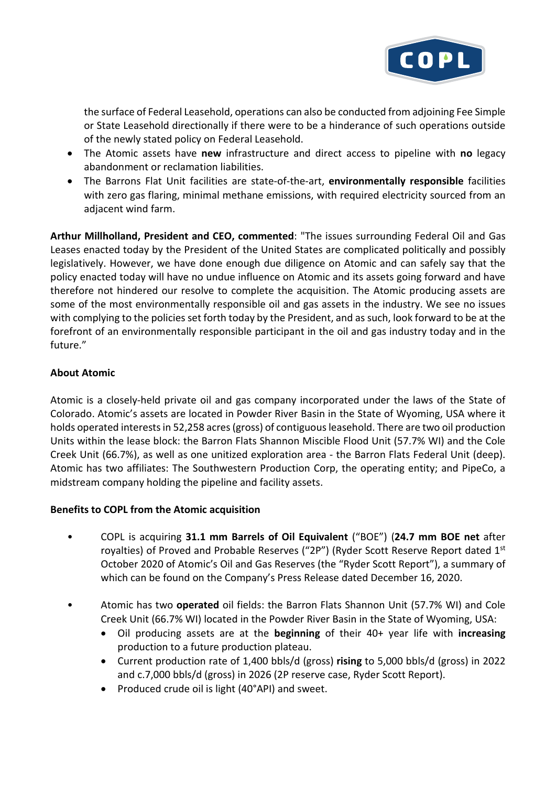

the surface of Federal Leasehold, operations can also be conducted from adjoining Fee Simple or State Leasehold directionally if there were to be a hinderance of such operations outside of the newly stated policy on Federal Leasehold.

- The Atomic assets have **new** infrastructure and direct access to pipeline with **no** legacy abandonment or reclamation liabilities.
- The Barrons Flat Unit facilities are state-of-the-art, **environmentally responsible** facilities with zero gas flaring, minimal methane emissions, with required electricity sourced from an adjacent wind farm.

**Arthur Millholland, President and CEO, commented**: "The issues surrounding Federal Oil and Gas Leases enacted today by the President of the United States are complicated politically and possibly legislatively. However, we have done enough due diligence on Atomic and can safely say that the policy enacted today will have no undue influence on Atomic and its assets going forward and have therefore not hindered our resolve to complete the acquisition. The Atomic producing assets are some of the most environmentally responsible oil and gas assets in the industry. We see no issues with complying to the policies set forth today by the President, and as such, look forward to be at the forefront of an environmentally responsible participant in the oil and gas industry today and in the future."

## **About Atomic**

Atomic is a closely-held private oil and gas company incorporated under the laws of the State of Colorado. Atomic's assets are located in Powder River Basin in the State of Wyoming, USA where it holds operated interests in 52,258 acres (gross) of contiguous leasehold. There are two oil production Units within the lease block: the Barron Flats Shannon Miscible Flood Unit (57.7% WI) and the Cole Creek Unit (66.7%), as well as one unitized exploration area - the Barron Flats Federal Unit (deep). Atomic has two affiliates: The Southwestern Production Corp, the operating entity; and PipeCo, a midstream company holding the pipeline and facility assets.

### **Benefits to COPL from the Atomic acquisition**

- COPL is acquiring **31.1 mm Barrels of Oil Equivalent** ("BOE") (**24.7 mm BOE net** after royalties) of Proved and Probable Reserves ("2P") (Ryder Scott Reserve Report dated 1st October 2020 of Atomic's Oil and Gas Reserves (the "Ryder Scott Report"), a summary of which can be found on the Company's Press Release dated December 16, 2020.
- Atomic has two **operated** oil fields: the Barron Flats Shannon Unit (57.7% WI) and Cole Creek Unit (66.7% WI) located in the Powder River Basin in the State of Wyoming, USA:
	- Oil producing assets are at the **beginning** of their 40+ year life with **increasing** production to a future production plateau.
	- Current production rate of 1,400 bbls/d (gross) **rising** to 5,000 bbls/d (gross) in 2022 and c.7,000 bbls/d (gross) in 2026 (2P reserve case, Ryder Scott Report).
	- Produced crude oil is light (40°API) and sweet.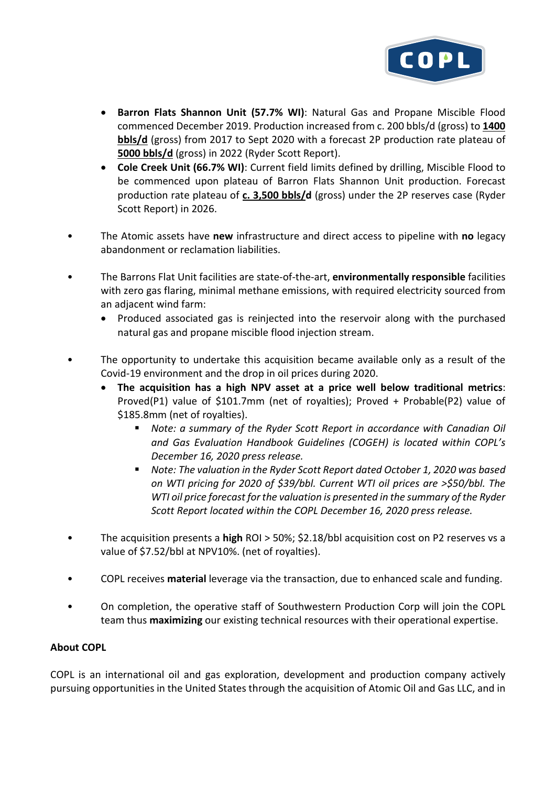

- **Barron Flats Shannon Unit (57.7% WI)**: Natural Gas and Propane Miscible Flood commenced December 2019. Production increased from c. 200 bbls/d (gross) to **1400 bbls/d** (gross) from 2017 to Sept 2020 with a forecast 2P production rate plateau of **5000 bbls/d** (gross) in 2022 (Ryder Scott Report).
- **Cole Creek Unit (66.7% WI)**: Current field limits defined by drilling, Miscible Flood to be commenced upon plateau of Barron Flats Shannon Unit production. Forecast production rate plateau of **c. 3,500 bbls/d** (gross) under the 2P reserves case (Ryder Scott Report) in 2026.
- The Atomic assets have **new** infrastructure and direct access to pipeline with **no** legacy abandonment or reclamation liabilities.
- The Barrons Flat Unit facilities are state-of-the-art, **environmentally responsible** facilities with zero gas flaring, minimal methane emissions, with required electricity sourced from an adjacent wind farm:
	- Produced associated gas is reinjected into the reservoir along with the purchased natural gas and propane miscible flood injection stream.
- The opportunity to undertake this acquisition became available only as a result of the Covid-19 environment and the drop in oil prices during 2020.
	- **The acquisition has a high NPV asset at a price well below traditional metrics**: Proved(P1) value of \$101.7mm (net of royalties); Proved + Probable(P2) value of \$185.8mm (net of royalties).
		- *Note: a summary of the Ryder Scott Report in accordance with Canadian Oil and Gas Evaluation Handbook Guidelines (COGEH) is located within COPL's December 16, 2020 press release.*
		- *Note: The valuation in the Ryder Scott Report dated October 1, 2020 was based on WTI pricing for 2020 of \$39/bbl. Current WTI oil prices are >\$50/bbl. The WTI oil price forecast for the valuation is presented in the summary of the Ryder Scott Report located within the COPL December 16, 2020 press release.*
- The acquisition presents a **high** ROI > 50%; \$2.18/bbl acquisition cost on P2 reserves vs a value of \$7.52/bbl at NPV10%. (net of royalties).
- COPL receives **material** leverage via the transaction, due to enhanced scale and funding.
- On completion, the operative staff of Southwestern Production Corp will join the COPL team thus **maximizing** our existing technical resources with their operational expertise.

### **About COPL**

COPL is an international oil and gas exploration, development and production company actively pursuing opportunities in the United States through the acquisition of Atomic Oil and Gas LLC, and in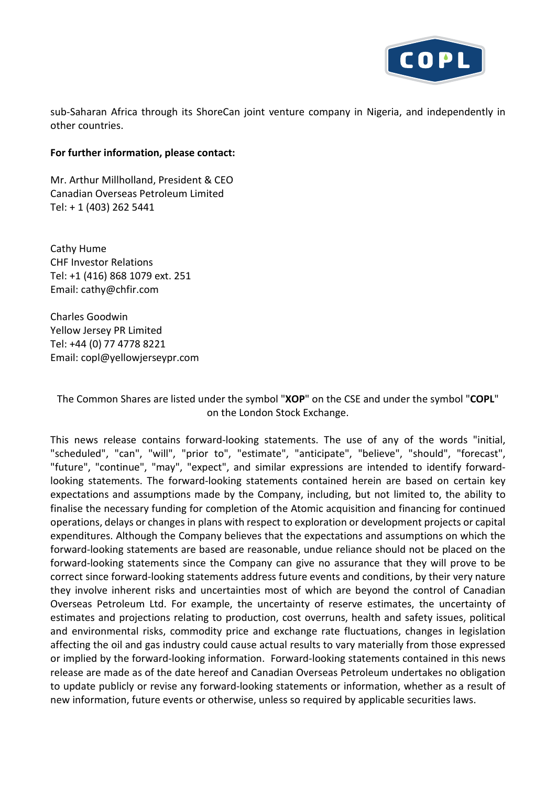

sub-Saharan Africa through its ShoreCan joint venture company in Nigeria, and independently in other countries.

#### **For further information, please contact:**

Mr. Arthur Millholland, President & CEO Canadian Overseas Petroleum Limited Tel: + 1 (403) 262 5441

Cathy Hume CHF Investor Relations Tel: +1 (416) 868 1079 ext. 251 Email: cathy@chfir.com

Charles Goodwin Yellow Jersey PR Limited Tel: +44 (0) 77 4778 8221 Email: copl@yellowjerseypr.com

The Common Shares are listed under the symbol "**XOP**" on the CSE and under the symbol "**COPL**" on the London Stock Exchange.

This news release contains forward-looking statements. The use of any of the words "initial, "scheduled", "can", "will", "prior to", "estimate", "anticipate", "believe", "should", "forecast", "future", "continue", "may", "expect", and similar expressions are intended to identify forwardlooking statements. The forward-looking statements contained herein are based on certain key expectations and assumptions made by the Company, including, but not limited to, the ability to finalise the necessary funding for completion of the Atomic acquisition and financing for continued operations, delays or changes in plans with respect to exploration or development projects or capital expenditures. Although the Company believes that the expectations and assumptions on which the forward-looking statements are based are reasonable, undue reliance should not be placed on the forward-looking statements since the Company can give no assurance that they will prove to be correct since forward-looking statements address future events and conditions, by their very nature they involve inherent risks and uncertainties most of which are beyond the control of Canadian Overseas Petroleum Ltd. For example, the uncertainty of reserve estimates, the uncertainty of estimates and projections relating to production, cost overruns, health and safety issues, political and environmental risks, commodity price and exchange rate fluctuations, changes in legislation affecting the oil and gas industry could cause actual results to vary materially from those expressed or implied by the forward-looking information. Forward-looking statements contained in this news release are made as of the date hereof and Canadian Overseas Petroleum undertakes no obligation to update publicly or revise any forward-looking statements or information, whether as a result of new information, future events or otherwise, unless so required by applicable securities laws.